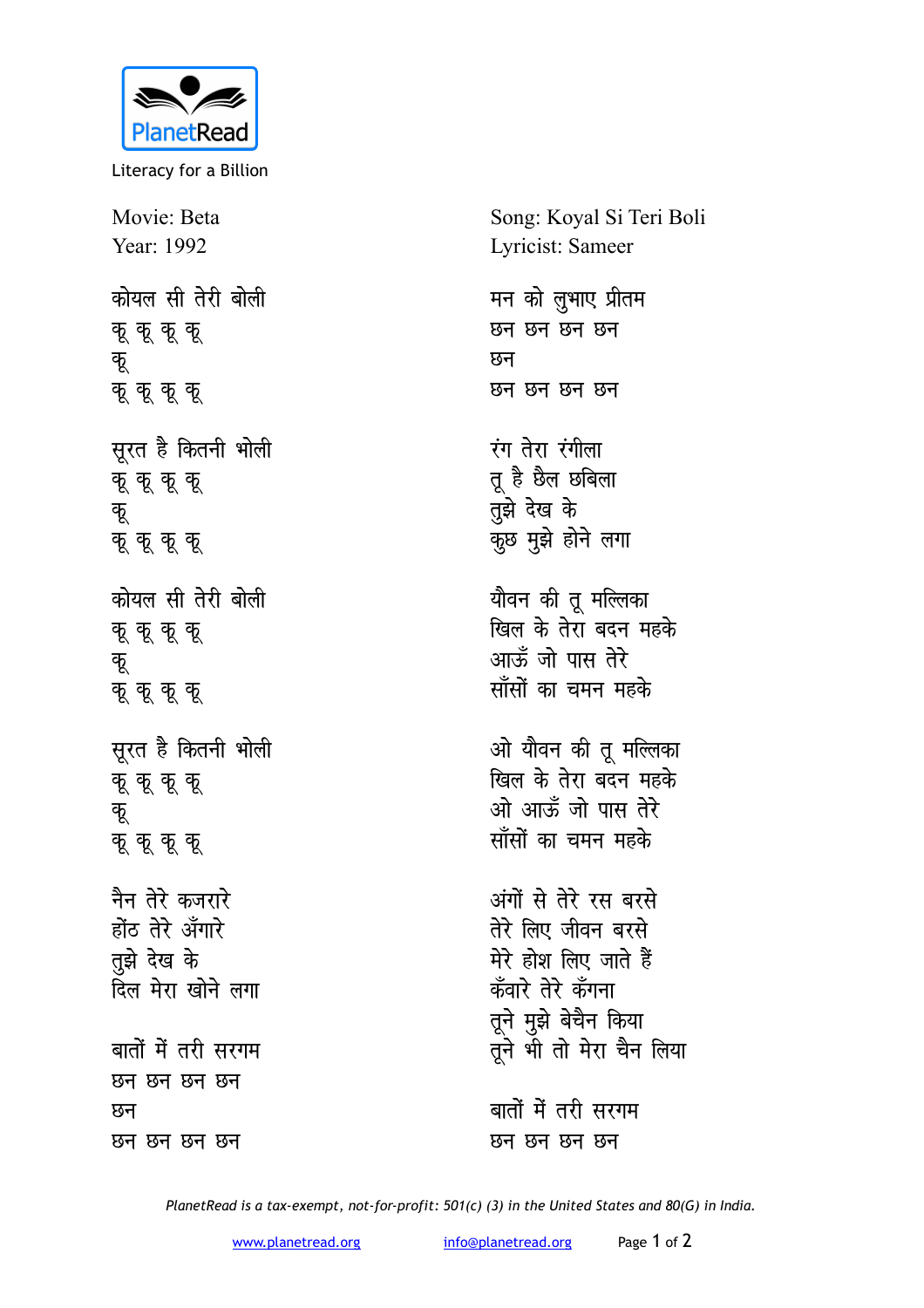

Literacy for a Billion

Movie: Beta Year: 1992 <u>कोयल सी तेरी बोली</u> <u>कू</u> कू कू **dw क् कू कू** *सुरत है कितनी भोली* **क् कू कू dw कु कु कु** <u>कोयल सी तेरी बोली</u> **क् कू कू** कू **dw क् कू कू** कू सूरत है कितनी भोली **क् कू कू dw क् क् क्** <u>नैन तेरे कजरारे</u> होंठ तेरे अँगारे **तुझे** देख के <u>दिल मेरा खोने लगा</u> बातों में तरी सरगम <u>प्रुन प्रुन प्रुन</u> <u>र</u>ुन <u>छन छन छन</u> छन

Song: Koyal Si Teri Boli Lyricist: Sameer मन को लुभाए प्रीतम <u>छन छन छन</u> <u>छन</u> <u>छन छन छन</u> रंग तेरा रंगीला तू है छैल छबिला *<u>तुंझे</u> देख के* कुछ मुझे होने लगा यौवन की तू मल्लिका <u>खिल के तेरा</u> बदन महके <u>आर्फ़ें जो पास तेरे</u> <u>साँसों का चमन महके</u> ओ यौवन की तू मल्लिका <u>खिल के तेरा बंदन महके</u> <u>ओ आर्फ़्ड जो पास तेरे</u> <u>साँसों का चमन महके</u> अंगों से तेरे रस बरस<mark>े</mark> तेरे लिए जीवन बरसे मेरे होश लिए जाते हैं कँवारे तेरे कँगना तूने मुझे बेचैन किया <u>तू</u>ने भी तो मेरा चैन लिया बातों में तरी सरगम

<u>छन छन छन</u> छन

*PlanetRead is a tax-exempt, not-for-profit: 501(c) (3) in the United States and 80(G) in India.*